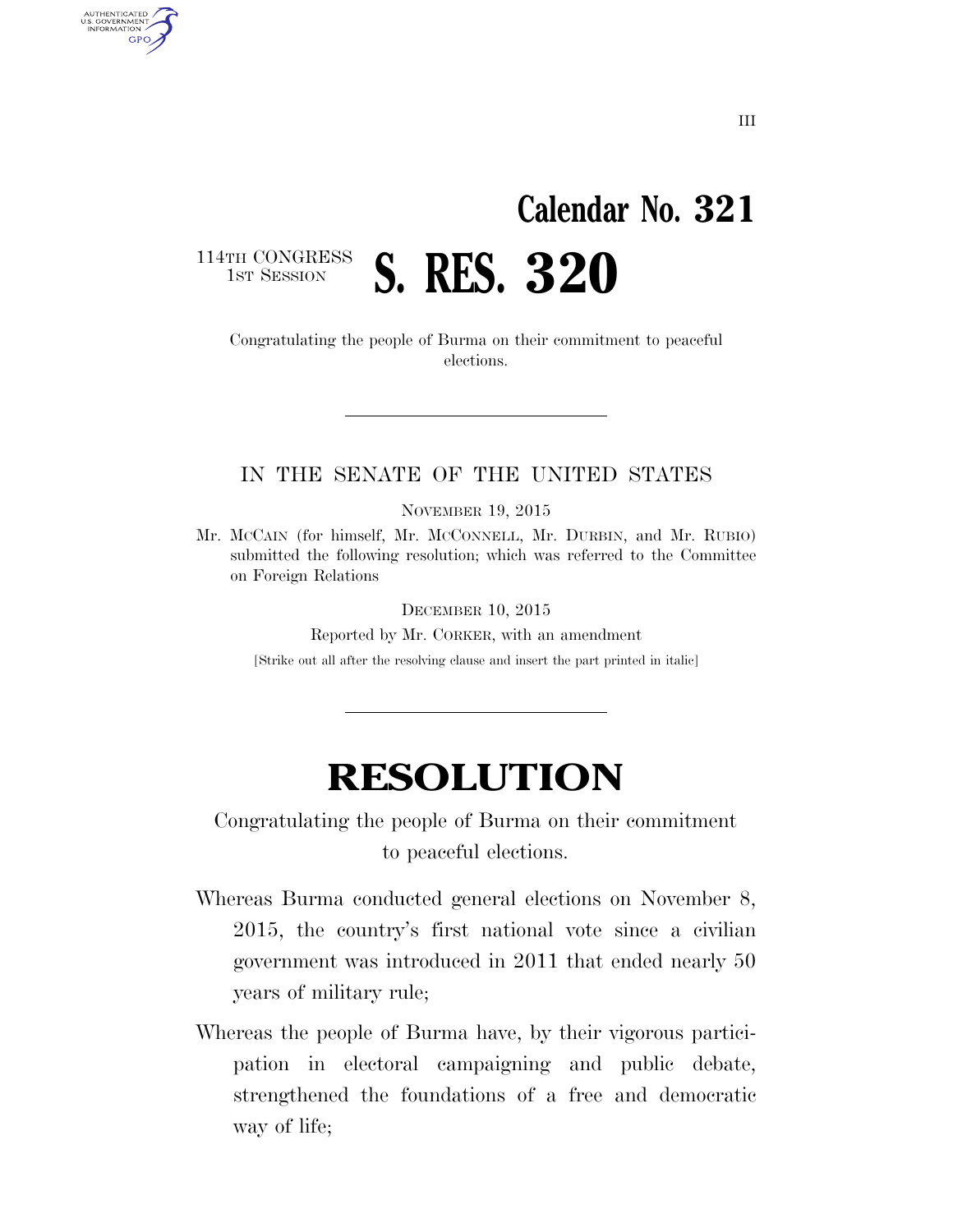## **Calendar No. 321**

114TH CONGRESS<br>1st Session

AUTHENTICATED<br>U.S. GOVERNMENT<br>INFORMATION **GPO** 

> Congratulating the people of Burma on their commitment to peaceful elections.

1ST SESSION **S. RES. 320** 

## IN THE SENATE OF THE UNITED STATES

NOVEMBER 19, 2015

Mr. MCCAIN (for himself, Mr. MCCONNELL, Mr. DURBIN, and Mr. RUBIO) submitted the following resolution; which was referred to the Committee on Foreign Relations

DECEMBER 10, 2015

Reported by Mr. CORKER, with an amendment

[Strike out all after the resolving clause and insert the part printed in italic]

## **RESOLUTION**

Congratulating the people of Burma on their commitment to peaceful elections.

- Whereas Burma conducted general elections on November 8, 2015, the country's first national vote since a civilian government was introduced in 2011 that ended nearly 50 years of military rule;
- Whereas the people of Burma have, by their vigorous participation in electoral campaigning and public debate, strengthened the foundations of a free and democratic way of life;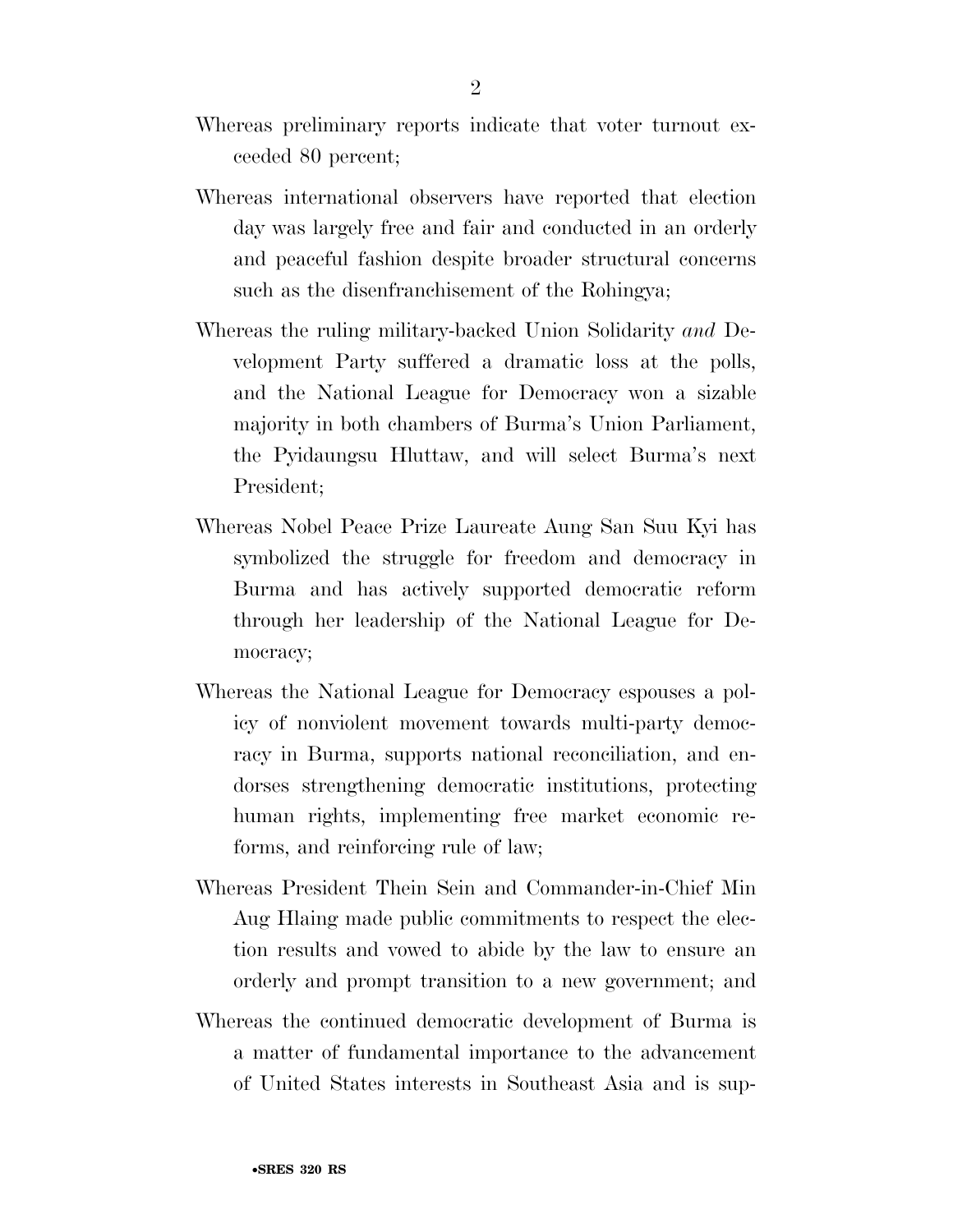- Whereas preliminary reports indicate that voter turnout exceeded 80 percent;
- Whereas international observers have reported that election day was largely free and fair and conducted in an orderly and peaceful fashion despite broader structural concerns such as the disenfranchisement of the Rohingya;
- Whereas the ruling military-backed Union Solidarity *and* Development Party suffered a dramatic loss at the polls, and the National League for Democracy won a sizable majority in both chambers of Burma's Union Parliament, the Pyidaungsu Hluttaw, and will select Burma's next President;
- Whereas Nobel Peace Prize Laureate Aung San Suu Kyi has symbolized the struggle for freedom and democracy in Burma and has actively supported democratic reform through her leadership of the National League for Democracy;
- Whereas the National League for Democracy espouses a policy of nonviolent movement towards multi-party democracy in Burma, supports national reconciliation, and endorses strengthening democratic institutions, protecting human rights, implementing free market economic reforms, and reinforcing rule of law;
- Whereas President Thein Sein and Commander-in-Chief Min Aug Hlaing made public commitments to respect the election results and vowed to abide by the law to ensure an orderly and prompt transition to a new government; and
- Whereas the continued democratic development of Burma is a matter of fundamental importance to the advancement of United States interests in Southeast Asia and is sup-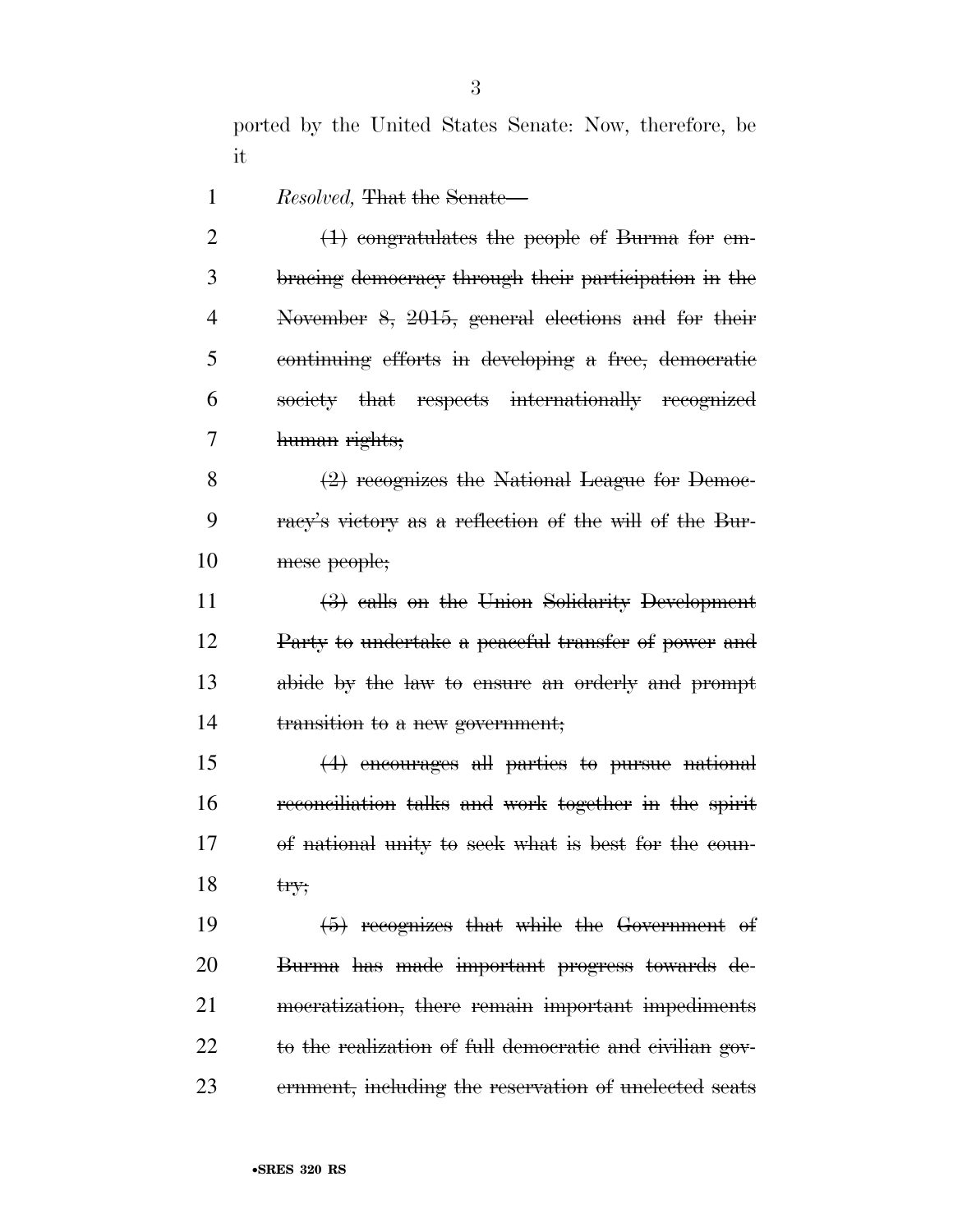ported by the United States Senate: Now, therefore, be it

*Resolved*, That the Senate—

2 (1) congratulates the people of Burma for em- bracing democracy through their participation in the November 8, 2015, general elections and for their continuing efforts in developing a free, democratic society that respects internationally recognized human rights;

 (2) recognizes the National League for Democ- racy's victory as a reflection of the will of the Bur-mese people;

 (3) calls on the Union Solidarity Development Party to undertake a peaceful transfer of power and abide by the law to ensure an orderly and prompt 14 transition to a new government;

 (4) encourages all parties to pursue national reconciliation talks and work together in the spirit of national unity to seek what is best for the coun-18  $t$ ry;

 (5) recognizes that while the Government of Burma has made important progress towards de- mocratization, there remain important impediments to the realization of full democratic and civilian gov-ernment, including the reservation of unelected seats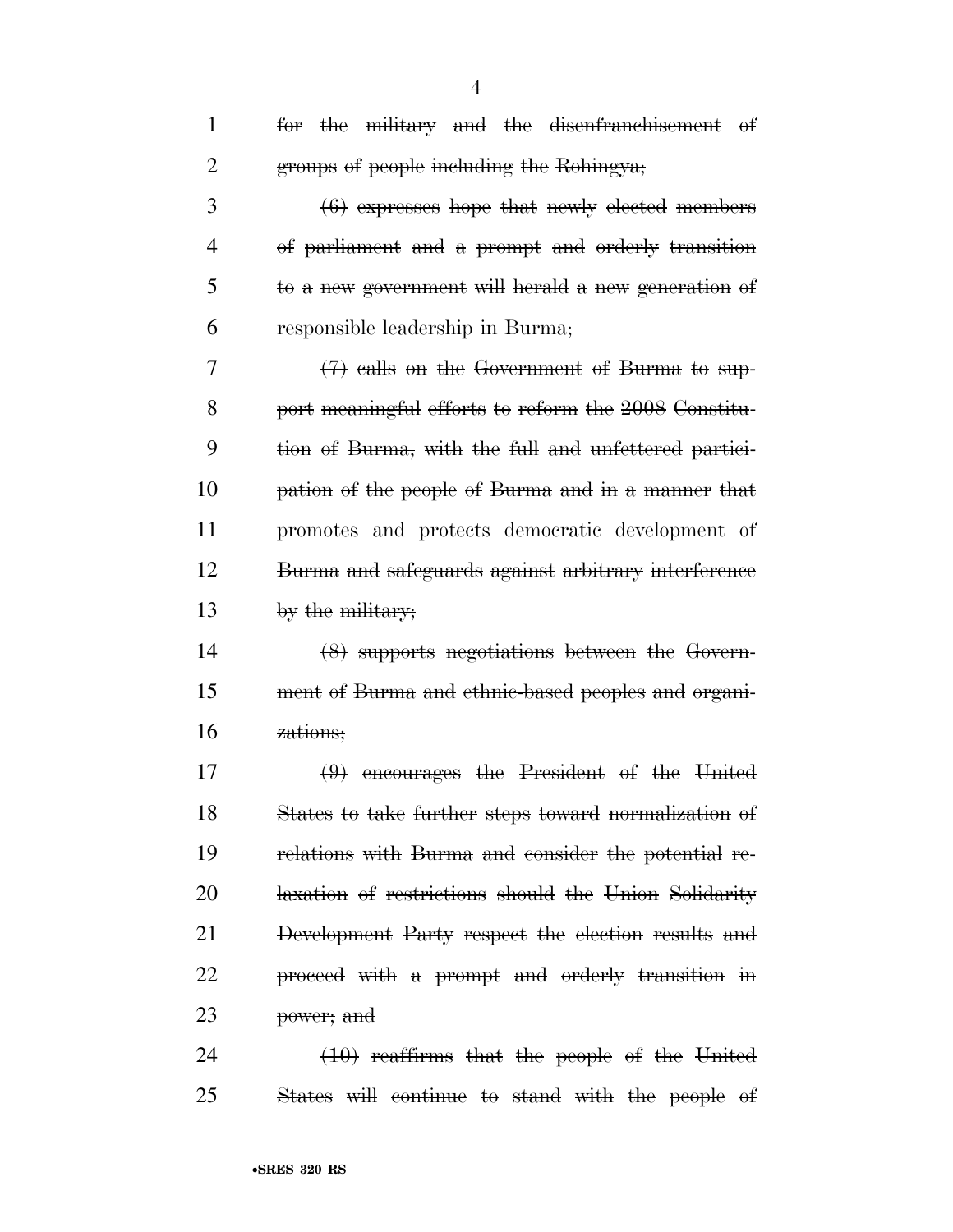| $\mathbf{1}$ | for the military and the disenfranchisement of       |
|--------------|------------------------------------------------------|
| 2            | groups of people including the Rohingya;             |
| 3            | $(6)$ expresses hope that newly elected members      |
| 4            | of parliament and a prompt and orderly transition    |
| 5            | to a new government will herald a new generation of  |
| 6            | responsible leadership in Burma;                     |
| 7            | $(7)$ calls on the Government of Burma to sup-       |
| 8            | port meaningful efforts to reform the 2008 Constitu- |
| 9            | tion of Burma, with the full and unfettered partici- |
| 10           | pation of the people of Burma and in a manner that   |
| 11           | promotes and protects democratic development of      |
| 12           | Burma and safeguards against arbitrary interference  |
| 13           | by the military;                                     |
| 14           | (8) supports negotiations between the Govern-        |
| 15           | ment of Burma and ethnic-based peoples and organi-   |
| 16           | zations;                                             |
| 17           | $(9)$ encourages the President of the United         |
| 18           | States to take further steps toward normalization of |
| 19           | relations with Burma and consider the potential re-  |
| 20           | laxation of restrictions should the Union Solidarity |
| 21           | Development Party respect the election results and   |
| 22           | proceed with a prompt and orderly transition in      |
| 23           | power; and                                           |
| 24           | $(10)$ reaffirms that the people of the United       |

States will continue to stand with the people of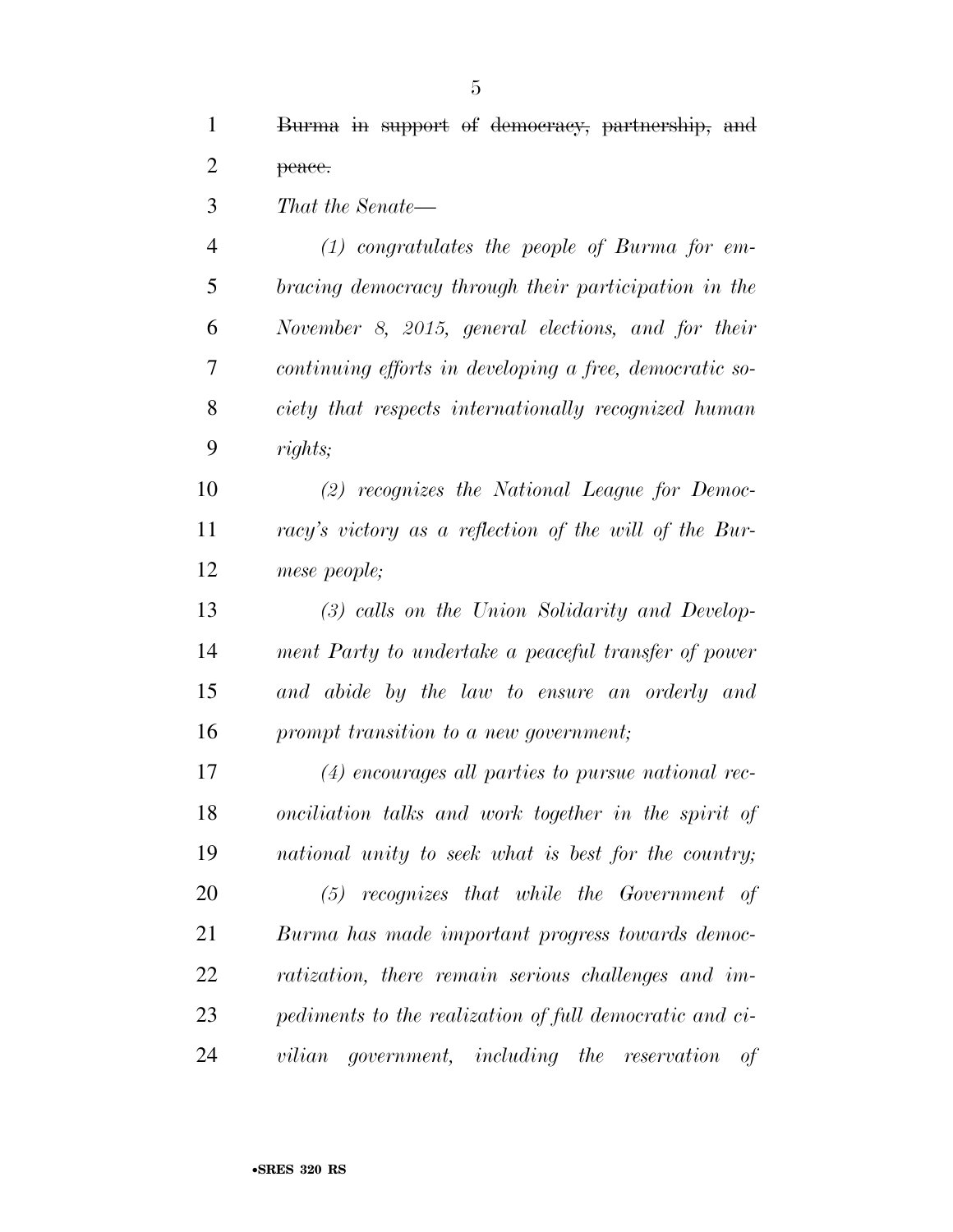*That the Senate*—

 *(1) congratulates the people of Burma for em- bracing democracy through their participation in the November 8, 2015, general elections, and for their continuing efforts in developing a free, democratic so- ciety that respects internationally recognized human rights;* 

 *(2) recognizes the National League for Democ- racy's victory as a reflection of the will of the Bur-mese people;* 

 *(3) calls on the Union Solidarity and Develop- ment Party to undertake a peaceful transfer of power and abide by the law to ensure an orderly and prompt transition to a new government;* 

 *(4) encourages all parties to pursue national rec- onciliation talks and work together in the spirit of national unity to seek what is best for the country;* 

 *(5) recognizes that while the Government of Burma has made important progress towards democ- ratization, there remain serious challenges and im- pediments to the realization of full democratic and ci-vilian government, including the reservation of*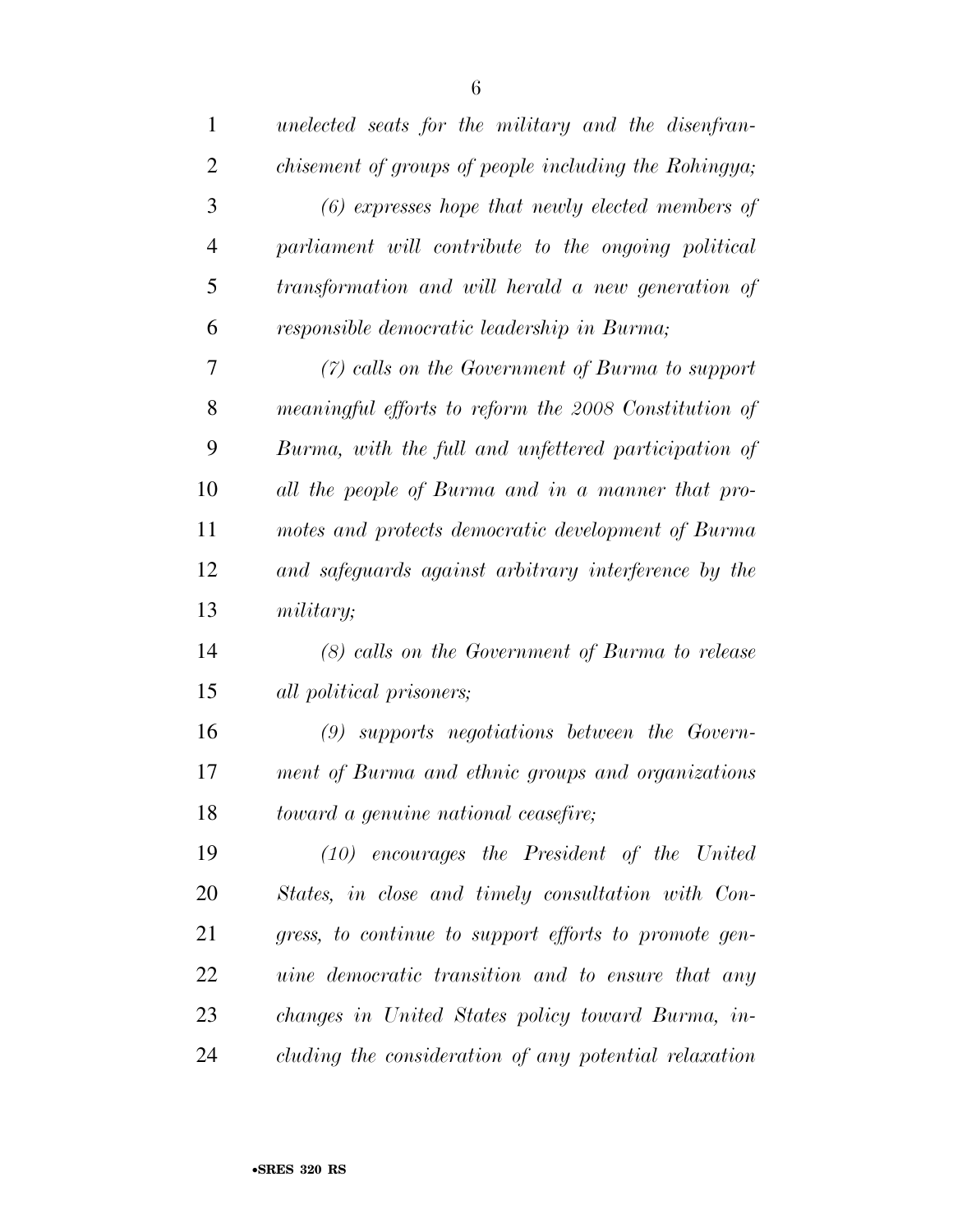| $\mathbf{1}$   | unelected seats for the military and the disenfran-      |
|----------------|----------------------------------------------------------|
| $\overline{2}$ | chisement of groups of people including the Rohingya;    |
| 3              | $(6)$ expresses hope that newly elected members of       |
| $\overline{4}$ | parliament will contribute to the ongoing political      |
| 5              | transformation and will herald a new generation of       |
| 6              | responsible democratic leadership in Burma;              |
| 7              | $(7)$ calls on the Government of Burma to support        |
| 8              | meaningful efforts to reform the 2008 Constitution of    |
| 9              | Burma, with the full and unfettered participation of     |
| 10             | all the people of Burma and in a manner that pro-        |
| 11             | motes and protects democratic development of Burma       |
| 12             | and safeguards against arbitrary interference by the     |
| 13             | military;                                                |
| 14             | (8) calls on the Government of Burma to release          |
| 15             | all political prisoners;                                 |
| 16             | $(9)$ supports negotiations between the Govern-          |
| 17             | ment of Burma and ethnic groups and organizations        |
| 18             | toward a genuine national ceasefire;                     |
| 19             | $(10)$ encourages the President of the United            |
| 20             | States, in close and timely consultation with Con-       |
| 21             | gress, to continue to support efforts to promote gen-    |
| 22             | <i>uine democratic transition and to ensure that any</i> |
| 23             | changes in United States policy toward Burma, in-        |
| 24             | cluding the consideration of any potential relaxation    |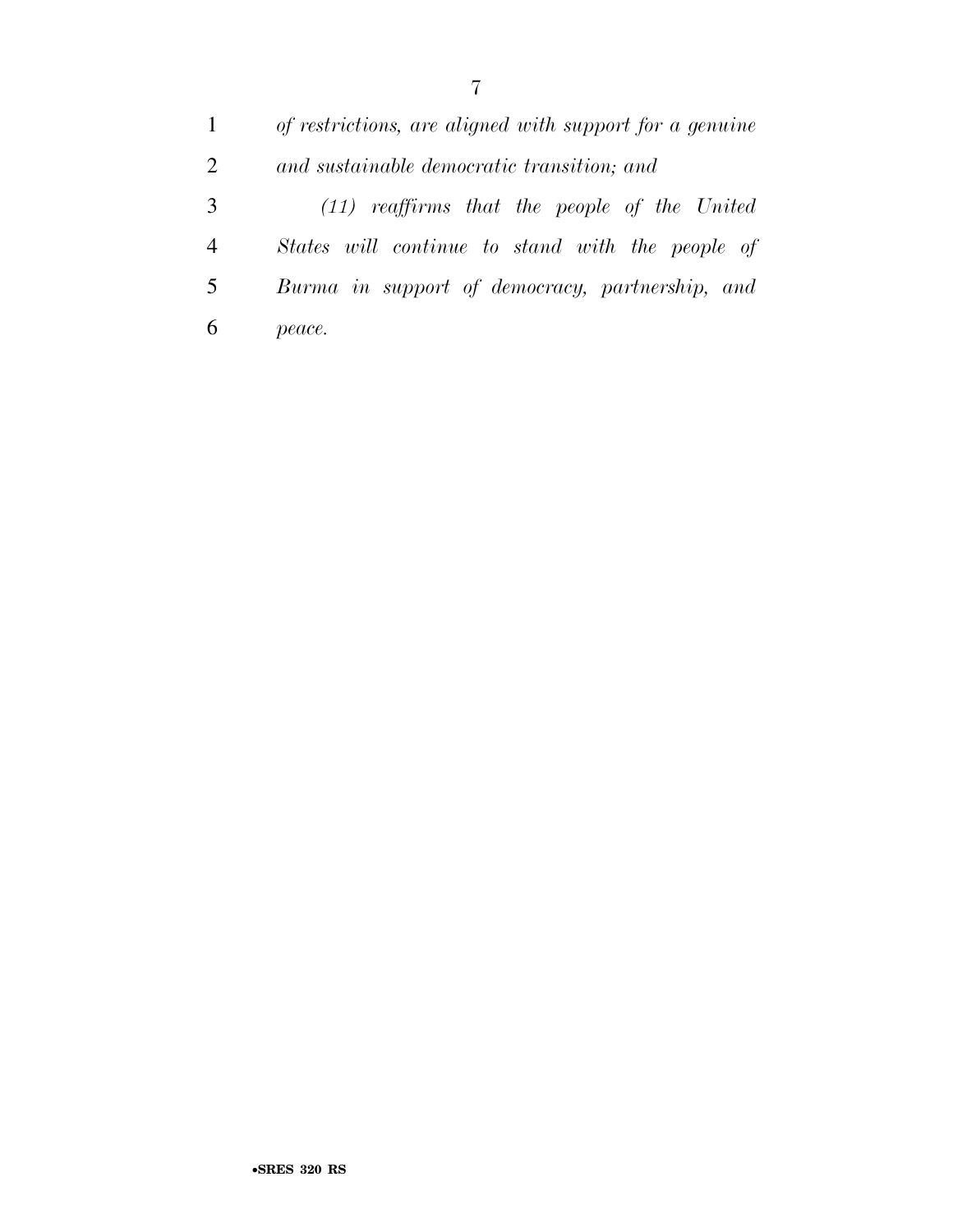*of restrictions, are aligned with support for a genuine and sustainable democratic transition; and (11) reaffirms that the people of the United States will continue to stand with the people of Burma in support of democracy, partnership, and peace.*